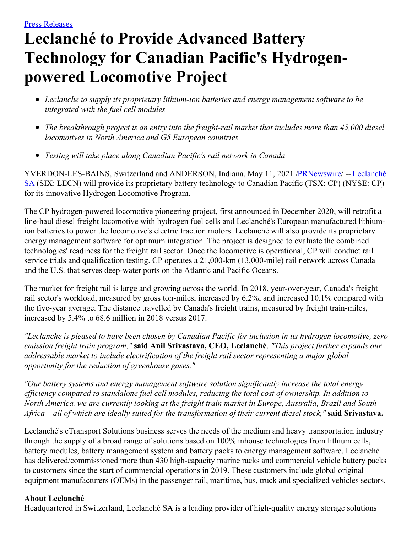## **Leclanché to Provide Advanced Battery Technology for Canadian Pacific's Hydrogenpowered Locomotive Project**

- *Leclanche to supply its proprietary lithium-ion batteries and energy management software to be integrated with the fuel cell modules*
- *The breakthrough project is an entry into the freight-rail market that includes more than 45,000 diesel locomotives in North America and G5 European countries*
- *Testing will take place along Canadian Pacific's rail network in Canada*

[YVERDON-LES-BAINS,](https://c212.net/c/link/?t=0&l=en&o=3156497-1&h=163215746&u=http%3A%2F%2Fwww.leclanche.com%2F&a=Leclanch%C3%A9+SA) Switzerland and ANDERSON, Indiana, May 11, 2021 [/PRNewswire](http://www.prnewswire.com/)/ -- Leclanché SA (SIX: LECN) will provide its proprietary battery technology to Canadian Pacific (TSX: CP) (NYSE: CP) for its innovative Hydrogen Locomotive Program.

The CP hydrogen-powered locomotive pioneering project, first announced in December 2020, will retrofit a line-haul diesel freight locomotive with hydrogen fuel cells and Leclanché's European manufactured lithiumion batteries to power the locomotive's electric traction motors. Leclanché will also provide its proprietary energy management software for optimum integration. The project is designed to evaluate the combined technologies' readiness for the freight rail sector. Once the locomotive is operational, CP will conduct rail service trials and qualification testing. CP operates a 21,000-km (13,000-mile) rail network across Canada and the U.S. that serves deep-water ports on the Atlantic and Pacific Oceans.

The market for freight rail is large and growing across the world. In 2018, year-over-year, Canada's freight rail sector's workload, measured by gross ton-miles, increased by 6.2%, and increased 10.1% compared with the five-year average. The distance travelled by Canada's freight trains, measured by freight train-miles, increased by 5.4% to 68.6 million in 2018 versus 2017.

"Leclanche is pleased to have been chosen by Canadian Pacific for inclusion in its hydrogen locomotive, zero *emission freight train program,"* **said Anil Srivastava, CEO, Leclanché**. *"This project further expands our addressable market to include electrification of the freight rail sector representing a major global opportunity for the reduction of greenhouse gases."*

*"Our battery systems and energy management software solution significantly increase the total energy ef iciency compared to standalone fuel cell modules, reducing the total cost of ownership. In addition to* North America, we are currently looking at the freight train market in Europe, Australia, Brazil and South Africa – all of which are ideally suited for the transformation of their current diesel stock," said Srivastava.

Leclanché's eTransport Solutions business serves the needs of the medium and heavy transportation industry through the supply of a broad range of solutions based on 100% inhouse technologies from lithium cells, battery modules, battery management system and battery packs to energy management software. Leclanché has delivered/commissioned more than 430 high-capacity marine racks and commercial vehicle battery packs to customers since the start of commercial operations in 2019. These customers include global original equipment manufacturers (OEMs) in the passenger rail, maritime, bus, truck and specialized vehicles sectors.

## **About Leclanché**

Headquartered in Switzerland, Leclanché SA is a leading provider of high-quality energy storage solutions